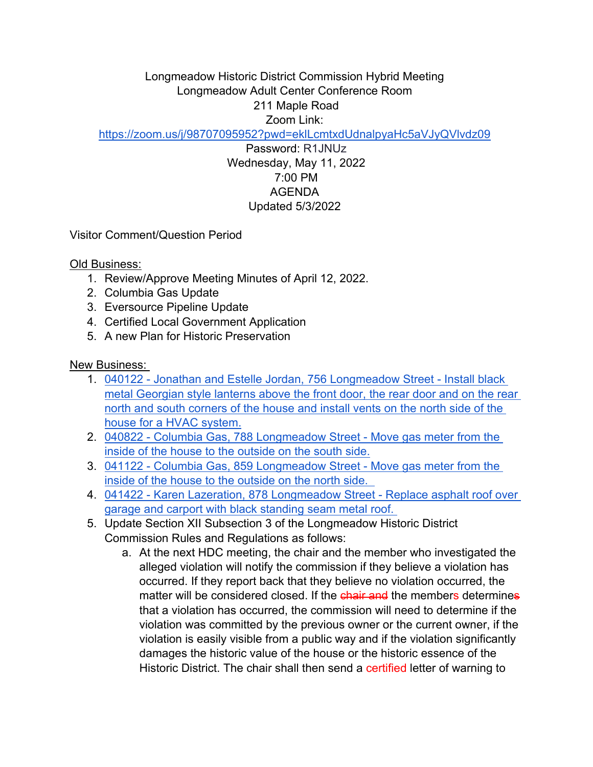Longmeadow Historic District Commission Hybrid Meeting Longmeadow Adult Center Conference Room 211 Maple Road Zoom Link:

<https://zoom.us/j/98707095952?pwd=eklLcmtxdUdnalpyaHc5aVJyQVlvdz09>

Password: R1JNUz Wednesday, May 11, 2022 7:00 PM AGENDA Updated 5/3/2022

Visitor Comment/Question Period

Old Business:

- 1. Review/Approve Meeting Minutes of April 12, 2022.
- 2. Columbia Gas Update
- 3. Eversource Pipeline Update
- 4. Certified Local Government Application
- 5. A new Plan for Historic Preservation

New Business:

- 1. [040122 Jonathan and Estelle Jordan, 756 Longmeadow Street Install black](https://drive.google.com/drive/folders/1BqHTOWx57oc7h0OH8-SMJ37wV4YPw_PU?usp=sharing)  [metal Georgian style lanterns above the front door, the rear door and on the rear](https://drive.google.com/drive/folders/1BqHTOWx57oc7h0OH8-SMJ37wV4YPw_PU?usp=sharing)  [north and south corners of the house and install vents on the north side of the](https://drive.google.com/drive/folders/1BqHTOWx57oc7h0OH8-SMJ37wV4YPw_PU?usp=sharing)
- [house for a HVAC system.](https://drive.google.com/drive/folders/1BqHTOWx57oc7h0OH8-SMJ37wV4YPw_PU?usp=sharing)<br>2. 040822 Columbia Gas, 788 Longmeadow Street Move gas meter from the [inside of the house to the outside on the south side.](https://drive.google.com/file/d/1C4LisW5f5bkZIoLi2yxQrPItPGTM6jeJ/view?usp=sharing) 3. [041122 - Columbia Gas, 859 Longmeadow Street - Move gas meter from the](https://drive.google.com/file/d/12anweSTU2hIgDcYpjlfsUzLnRE-2TBKG/view?usp=sharing)
- [inside of the house to the outside on the north side.](https://drive.google.com/file/d/12anweSTU2hIgDcYpjlfsUzLnRE-2TBKG/view?usp=sharing)
- 4. [041422 Karen Lazeration, 878 Longmeadow Street Replace asphalt roof over](https://drive.google.com/drive/folders/1fO7GRRyt5MAnSKOuTENKJv59jtNHmid9?usp=sharing)  [garage and carport with black standing seam metal roof.](https://drive.google.com/drive/folders/1fO7GRRyt5MAnSKOuTENKJv59jtNHmid9?usp=sharing)
- 5. Update Section XII Subsection 3 of the Longmeadow Historic District Commission Rules and Regulations as follows:
	- a. At the next HDC meeting, the chair and the member who investigated the alleged violation will notify the commission if they believe a violation has occurred. If they report back that they believe no violation occurred, the matter will be considered closed. If the chair and the members determines that a violation has occurred, the commission will need to determine if the violation was committed by the previous owner or the current owner, if the violation is easily visible from a public way and if the violation significantly damages the historic value of the house or the historic essence of the Historic District. The chair shall then send a certified letter of warning to